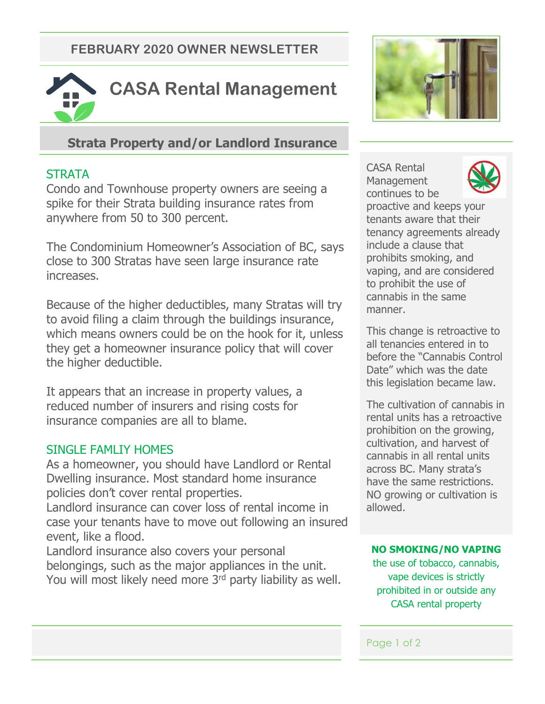**FEBRUARY 2020 OWNER NEWSLETTER**



## **Strata Property and/or Landlord Insurance**

## **STRATA**

Condo and Townhouse property owners are seeing a spike for their Strata building insurance rates from anywhere from 50 to 300 percent.

The Condominium Homeowner's Association of BC, says close to 300 Stratas have seen large insurance rate increases.

Because of the higher deductibles, many Stratas will try to avoid filing a claim through the buildings insurance, which means owners could be on the hook for it, unless they get a homeowner insurance policy that will cover the higher deductible.

It appears that an increase in property values, a reduced number of insurers and rising costs for insurance companies are all to blame.

## SINGLE FAMLIY HOMES

As a homeowner, you should have Landlord or Rental Dwelling insurance. Most standard home insurance policies don't cover rental properties.

Landlord insurance can cover loss of rental income in case your tenants have to move out following an insured event, like a flood.

Landlord insurance also covers your personal belongings, such as the major appliances in the unit. You will most likely need more 3<sup>rd</sup> party liability as well.



CASA Rental **Management** continues to be



proactive and keeps your tenants aware that their tenancy agreements already include a clause that prohibits smoking, and vaping, and are considered to prohibit the use of cannabis in the same manner.

This change is retroactive to all tenancies entered in to before the "Cannabis Control Date" which was the date this legislation became law.

The cultivation of cannabis in rental units has a retroactive prohibition on the growing, cultivation, and harvest of cannabis in all rental units across BC. Many strata's have the same restrictions. NO growing or cultivation is allowed.

### **NO SMOKING/NO VAPING**

the use of tobacco, cannabis, vape devices is strictly prohibited in or outside any CASA rental property

### Page 1 of 2